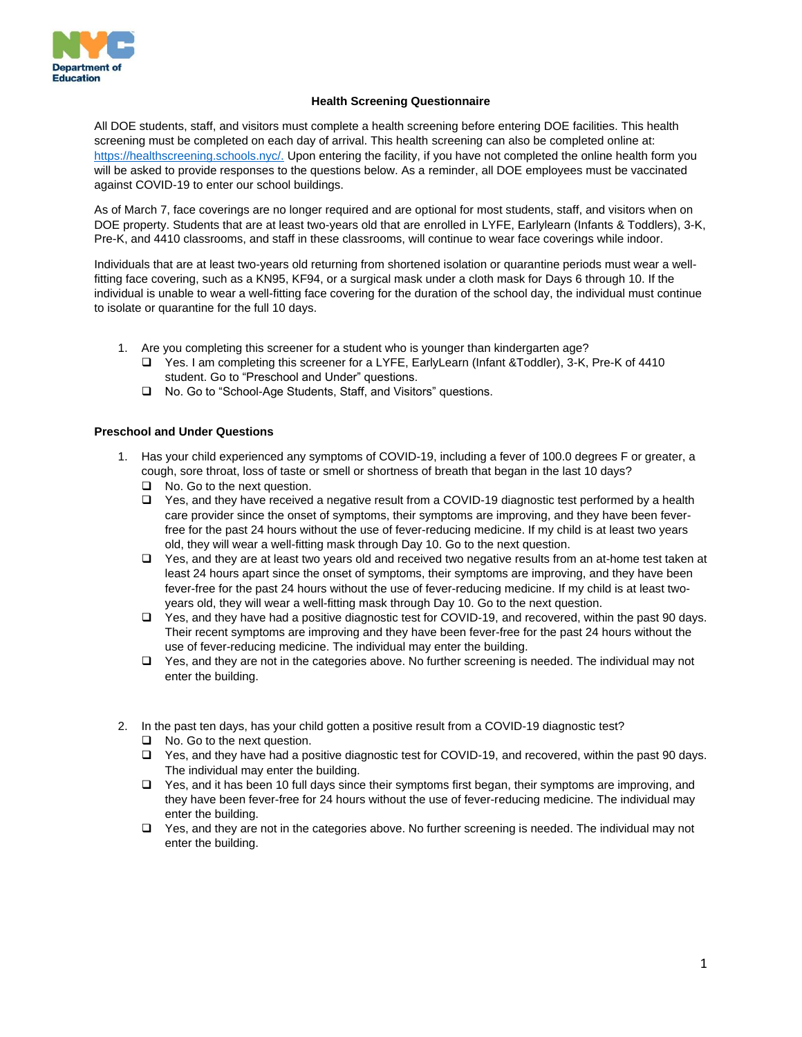

## **Health Screening Questionnaire**

All DOE students, staff, and visitors must complete a health screening before entering DOE facilities. This health screening must be completed on each day of arrival. This health screening can also be completed online at[:](https://healthscreening.schools.nyc/) [https://healthscreening.schools.nyc/.](https://healthscreening.schools.nyc/) Upon entering the facility, if you have not completed the online health form you will be asked to provide responses to the questions below. As a reminder, all DOE employees must be vaccinated against COVID-19 to enter our school buildings.

As of March 7, face coverings are no longer required and are optional for most students, staff, and visitors when on DOE property. Students that are at least two-years old that are enrolled in LYFE, Earlylearn (Infants & Toddlers), 3-K, Pre-K, and 4410 classrooms, and staff in these classrooms, will continue to wear face coverings while indoor.

Individuals that are at least two-years old returning from shortened isolation or quarantine periods must wear a wellfitting face covering, such as a KN95, KF94, or a surgical mask under a cloth mask for Days 6 through 10. If the individual is unable to wear a well-fitting face covering for the duration of the school day, the individual must continue to isolate or quarantine for the full 10 days.

- 1. Are you completing this screener for a student who is younger than kindergarten age?
	- ❑ Yes. I am completing this screener for a LYFE, EarlyLearn (Infant &Toddler), 3-K, Pre-K of 4410 student. Go to "Preschool and Under" questions.
	- ❑ No. Go to "School-Age Students, Staff, and Visitors" questions.

## **Preschool and Under Questions**

- 1. Has your child experienced any symptoms of COVID-19, including a fever of 100.0 degrees F or greater, a cough, sore throat, loss of taste or smell or shortness of breath that began in the last 10 days?
	- ❑ No. Go to the next question.
	- ❑ Yes, and they have received a negative result from a COVID-19 diagnostic test performed by a health care provider since the onset of symptoms, their symptoms are improving, and they have been feverfree for the past 24 hours without the use of fever-reducing medicine. If my child is at least two years old, they will wear a well-fitting mask through Day 10. Go to the next question.
	- ❑ Yes, and they are at least two years old and received two negative results from an at-home test taken at least 24 hours apart since the onset of symptoms, their symptoms are improving, and they have been fever-free for the past 24 hours without the use of fever-reducing medicine. If my child is at least twoyears old, they will wear a well-fitting mask through Day 10. Go to the next question.
	- ❑ Yes, and they have had a positive diagnostic test for COVID-19, and recovered, within the past 90 days. Their recent symptoms are improving and they have been fever-free for the past 24 hours without the use of fever-reducing medicine. The individual may enter the building.
	- ❑ Yes, and they are not in the categories above. No further screening is needed. The individual may not enter the building.
- 2. In the past ten days, has your child gotten a positive result from a COVID-19 diagnostic test?
	- ❑ No. Go to the next question.
	- ❑ Yes, and they have had a positive diagnostic test for COVID-19, and recovered, within the past 90 days. The individual may enter the building.
	- ❑ Yes, and it has been 10 full days since their symptoms first began, their symptoms are improving, and they have been fever-free for 24 hours without the use of fever-reducing medicine. The individual may enter the building.
	- ❑ Yes, and they are not in the categories above. No further screening is needed. The individual may not enter the building.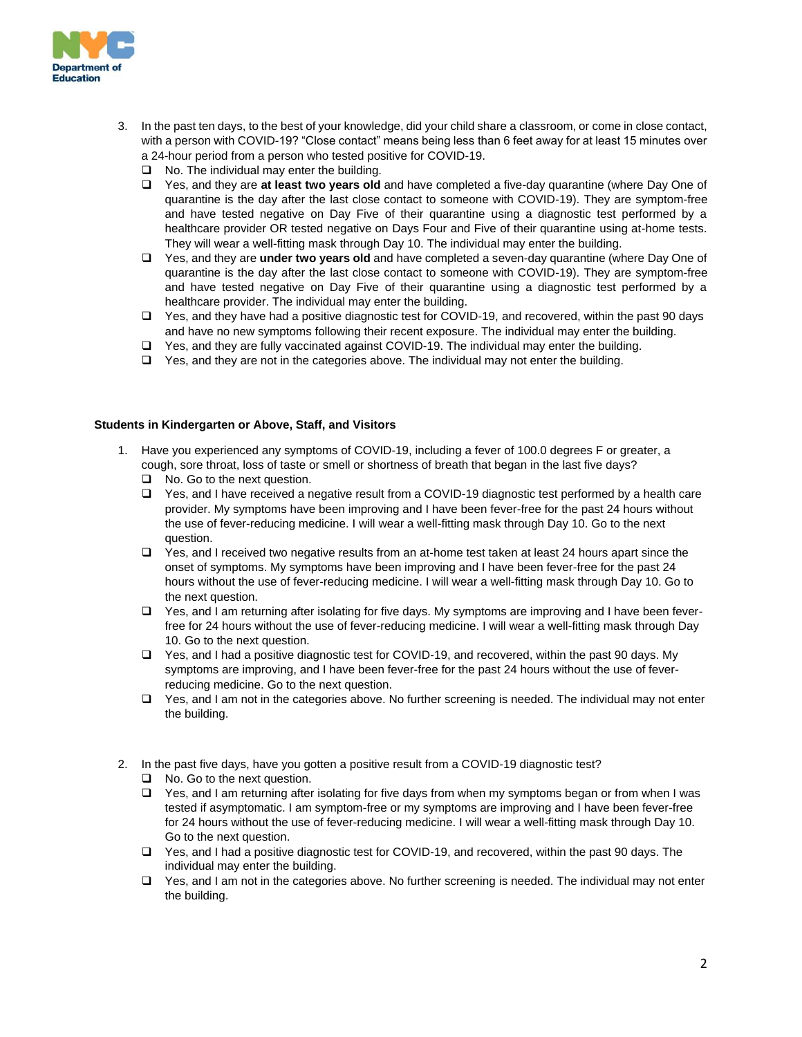

- 3. In the past ten days, to the best of your knowledge, did your child share a classroom, or come in close contact, with a person with COVID-19? "Close contact" means being less than 6 feet away for at least 15 minutes over a 24-hour period from a person who tested positive for COVID-19.
	- ❑ No. The individual may enter the building.
	- ❑ Yes, and they are **at least two years old** and have completed a five-day quarantine (where Day One of quarantine is the day after the last close contact to someone with COVID-19). They are symptom-free and have tested negative on Day Five of their quarantine using a diagnostic test performed by a healthcare provider OR tested negative on Days Four and Five of their quarantine using at-home tests. They will wear a well-fitting mask through Day 10. The individual may enter the building.
	- ❑ Yes, and they are **under two years old** and have completed a seven-day quarantine (where Day One of quarantine is the day after the last close contact to someone with COVID-19). They are symptom-free and have tested negative on Day Five of their quarantine using a diagnostic test performed by a healthcare provider. The individual may enter the building.
	- ❑ Yes, and they have had a positive diagnostic test for COVID-19, and recovered, within the past 90 days and have no new symptoms following their recent exposure. The individual may enter the building.
	- ❑ Yes, and they are fully vaccinated against COVID-19. The individual may enter the building.
	- ❑ Yes, and they are not in the categories above. The individual may not enter the building.

## **Students in Kindergarten or Above, Staff, and Visitors**

- 1. Have you experienced any symptoms of COVID-19, including a fever of 100.0 degrees F or greater, a cough, sore throat, loss of taste or smell or shortness of breath that began in the last five days?
	- ❑ No. Go to the next question.
	- ❑ Yes, and I have received a negative result from a COVID-19 diagnostic test performed by a health care provider. My symptoms have been improving and I have been fever-free for the past 24 hours without the use of fever-reducing medicine. I will wear a well-fitting mask through Day 10. Go to the next question.
	- ❑ Yes, and I received two negative results from an at-home test taken at least 24 hours apart since the onset of symptoms. My symptoms have been improving and I have been fever-free for the past 24 hours without the use of fever-reducing medicine. I will wear a well-fitting mask through Day 10. Go to the next question.
	- ❑ Yes, and I am returning after isolating for five days. My symptoms are improving and I have been feverfree for 24 hours without the use of fever-reducing medicine. I will wear a well-fitting mask through Day 10. Go to the next question.
	- ❑ Yes, and I had a positive diagnostic test for COVID-19, and recovered, within the past 90 days. My symptoms are improving, and I have been fever-free for the past 24 hours without the use of feverreducing medicine. Go to the next question.
	- ❑ Yes, and I am not in the categories above. No further screening is needed. The individual may not enter the building.
- 2. In the past five days, have you gotten a positive result from a COVID-19 diagnostic test?
	- ❑ No. Go to the next question.
	- ❑ Yes, and I am returning after isolating for five days from when my symptoms began or from when I was tested if asymptomatic. I am symptom-free or my symptoms are improving and I have been fever-free for 24 hours without the use of fever-reducing medicine. I will wear a well-fitting mask through Day 10. Go to the next question.
	- ❑ Yes, and I had a positive diagnostic test for COVID-19, and recovered, within the past 90 days. The individual may enter the building.
	- ❑ Yes, and I am not in the categories above. No further screening is needed. The individual may not enter the building.